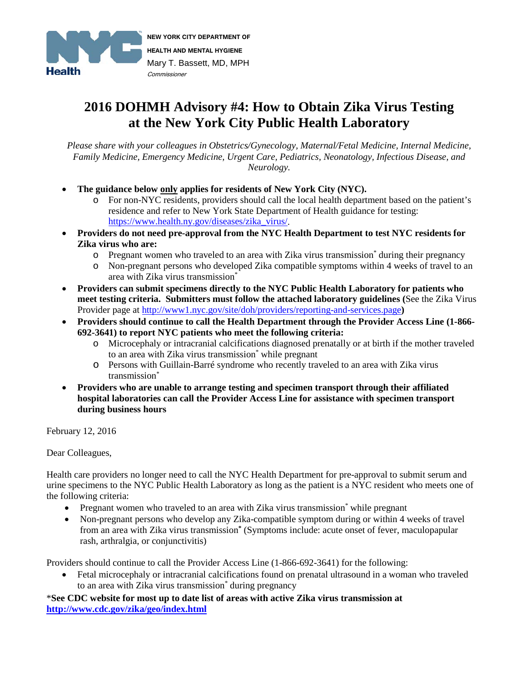

**NEW YORK CITY DEPARTMENT OF HEALTH AND MENTAL HYGIENE** Mary T. Bassett, MD, MPH Commissioner

## **2016 DOHMH Advisory #4: How to Obtain Zika Virus Testing at the New York City Public Health Laboratory**

*Please share with your colleagues in Obstetrics/Gynecology, Maternal/Fetal Medicine, Internal Medicine, Family Medicine, Emergency Medicine, Urgent Care, Pediatrics, Neonatology, Infectious Disease, and Neurology.*

- **The guidance below only applies for residents of New York City (NYC).**
	- o For non-NYC residents, providers should call the local health department based on the patient's residence and refer to New York State Department of Health guidance for testing: [https://www.health.ny.gov/diseases/zika\\_virus/.](https://www.health.ny.gov/diseases/zika_virus/)
- **Providers do not need pre-approval from the NYC Health Department to test NYC residents for Zika virus who are:**
	- o Pregnant women who traveled to an area with Zika virus transmission\* during their pregnancy
	- o Non-pregnant persons who developed Zika compatible symptoms within 4 weeks of travel to an area with Zika virus transmission\*
- **Providers can submit specimens directly to the NYC Public Health Laboratory for patients who meet testing criteria. Submitters must follow the attached laboratory guidelines (**See the Zika Virus Provider page at<http://www1.nyc.gov/site/doh/providers/reporting-and-services.page>**)**
- **Providers should continue to call the Health Department through the Provider Access Line (1-866- 692-3641) to report NYC patients who meet the following criteria:**
	- o Microcephaly or intracranial calcifications diagnosed prenatally or at birth if the mother traveled to an area with Zika virus transmission<sup>\*</sup> while pregnant
	- o Persons with Guillain-Barré syndrome who recently traveled to an area with Zika virus transmission\*
- **Providers who are unable to arrange testing and specimen transport through their affiliated hospital laboratories can call the Provider Access Line for assistance with specimen transport during business hours**

February 12, 2016

Dear Colleagues,

Health care providers no longer need to call the NYC Health Department for pre-approval to submit serum and urine specimens to the NYC Public Health Laboratory as long as the patient is a NYC resident who meets one of the following criteria:

- Pregnant women who traveled to an area with Zika virus transmission<sup>\*</sup> while pregnant
- Non-pregnant persons who develop any Zika-compatible symptom during or within 4 weeks of travel from an area with Zika virus transmission**\*** (Symptoms include: acute onset of fever, maculopapular rash, arthralgia, or conjunctivitis)

Providers should continue to call the Provider Access Line (1-866-692-3641) for the following:

• Fetal microcephaly or intracranial calcifications found on prenatal ultrasound in a woman who traveled to an area with Zika virus transmission\* during pregnancy

\***See CDC website for most up to date list of areas with active Zika virus transmission at <http://www.cdc.gov/zika/geo/index.html>**